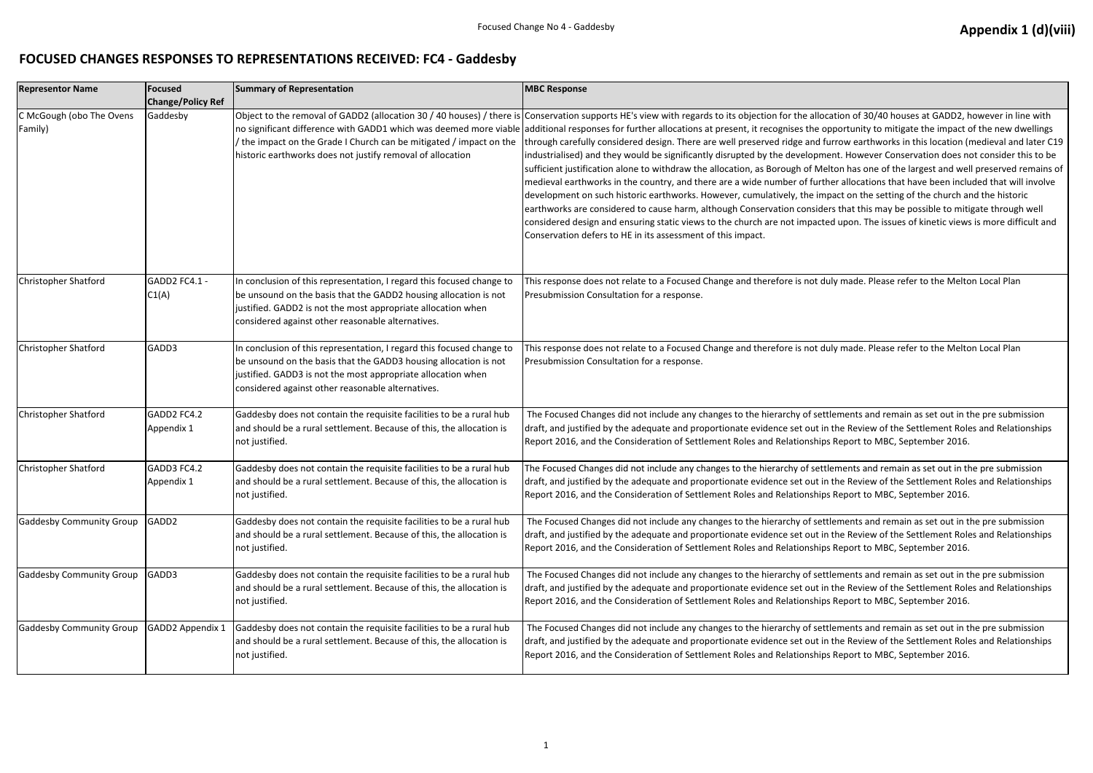## **FOCUSED CHANGES RESPONSES TO REPRESENTATIONS RECEIVED: FC4 - Gaddesby**

| <b>Representor Name</b>             | Focused<br><b>Change/Policy Ref</b> | <b>Summary of Representation</b>                                                                                                                                                                                                                               | <b>MBC Response</b>                                                                                                                                                                                                                                                                                                                                                                                                                                                                                                                                                                                                                                                                                                                                                                                                                                                                                                   |
|-------------------------------------|-------------------------------------|----------------------------------------------------------------------------------------------------------------------------------------------------------------------------------------------------------------------------------------------------------------|-----------------------------------------------------------------------------------------------------------------------------------------------------------------------------------------------------------------------------------------------------------------------------------------------------------------------------------------------------------------------------------------------------------------------------------------------------------------------------------------------------------------------------------------------------------------------------------------------------------------------------------------------------------------------------------------------------------------------------------------------------------------------------------------------------------------------------------------------------------------------------------------------------------------------|
| C McGough (obo The Ovens<br>Family) | Gaddesby                            | / the impact on the Grade I Church can be mitigated / impact on the<br>historic earthworks does not justify removal of allocation                                                                                                                              | Object to the removal of GADD2 (allocation 30 / 40 houses) / there is Conservation supports HE's view with regards to its objection for the allo<br>no significant difference with GADD1 which was deemed more viable aadditional responses for further allocations at present, it recognises the o<br>through carefully considered design. There are well preserved ridge and t<br>industrialised) and they would be significantly disrupted by the developm<br>sufficient justification alone to withdraw the allocation, as Borough of Mo<br>medieval earthworks in the country, and there are a wide number of furt<br>development on such historic earthworks. However, cumulatively, the in<br>earthworks are considered to cause harm, although Conservation consid<br>considered design and ensuring static views to the church are not impact<br>Conservation defers to HE in its assessment of this impact. |
| Christopher Shatford                | GADD2 FC4.1 -<br>CI(A)              | In conclusion of this representation, I regard this focused change to<br>be unsound on the basis that the GADD2 housing allocation is not<br>justified. GADD2 is not the most appropriate allocation when<br>considered against other reasonable alternatives. | This response does not relate to a Focused Change and therefore is not d<br>Presubmission Consultation for a response.                                                                                                                                                                                                                                                                                                                                                                                                                                                                                                                                                                                                                                                                                                                                                                                                |
| Christopher Shatford                | GADD3                               | In conclusion of this representation, I regard this focused change to<br>be unsound on the basis that the GADD3 housing allocation is not<br>justified. GADD3 is not the most appropriate allocation when<br>considered against other reasonable alternatives. | This response does not relate to a Focused Change and therefore is not d<br>Presubmission Consultation for a response.                                                                                                                                                                                                                                                                                                                                                                                                                                                                                                                                                                                                                                                                                                                                                                                                |
| Christopher Shatford                | GADD2 FC4.2<br>Appendix 1           | Gaddesby does not contain the requisite facilities to be a rural hub<br>and should be a rural settlement. Because of this, the allocation is<br>not justified.                                                                                                 | The Focused Changes did not include any changes to the hierarchy of set<br>draft, and justified by the adequate and proportionate evidence set out i<br>Report 2016, and the Consideration of Settlement Roles and Relationship                                                                                                                                                                                                                                                                                                                                                                                                                                                                                                                                                                                                                                                                                       |
| Christopher Shatford                | GADD3 FC4.2<br>Appendix 1           | Gaddesby does not contain the requisite facilities to be a rural hub<br>and should be a rural settlement. Because of this, the allocation is<br>not justified.                                                                                                 | The Focused Changes did not include any changes to the hierarchy of set<br>draft, and justified by the adequate and proportionate evidence set out i<br>Report 2016, and the Consideration of Settlement Roles and Relationship                                                                                                                                                                                                                                                                                                                                                                                                                                                                                                                                                                                                                                                                                       |
| <b>Gaddesby Community Group</b>     | GADD <sub>2</sub>                   | Gaddesby does not contain the requisite facilities to be a rural hub<br>and should be a rural settlement. Because of this, the allocation is<br>not justified.                                                                                                 | The Focused Changes did not include any changes to the hierarchy of set<br>draft, and justified by the adequate and proportionate evidence set out i<br>Report 2016, and the Consideration of Settlement Roles and Relationship                                                                                                                                                                                                                                                                                                                                                                                                                                                                                                                                                                                                                                                                                       |
| <b>Gaddesby Community Group</b>     | GADD3                               | Gaddesby does not contain the requisite facilities to be a rural hub<br>and should be a rural settlement. Because of this, the allocation is<br>not justified.                                                                                                 | The Focused Changes did not include any changes to the hierarchy of set<br>draft, and justified by the adequate and proportionate evidence set out i<br>Report 2016, and the Consideration of Settlement Roles and Relationship                                                                                                                                                                                                                                                                                                                                                                                                                                                                                                                                                                                                                                                                                       |
| <b>Gaddesby Community Group</b>     | GADD2 Appendix 1                    | Gaddesby does not contain the requisite facilities to be a rural hub<br>and should be a rural settlement. Because of this, the allocation is<br>not justified.                                                                                                 | The Focused Changes did not include any changes to the hierarchy of set<br>draft, and justified by the adequate and proportionate evidence set out i<br>Report 2016, and the Consideration of Settlement Roles and Relationship                                                                                                                                                                                                                                                                                                                                                                                                                                                                                                                                                                                                                                                                                       |

ocation of 30/40 houses at GADD2, however in line with opportunity to mitigate the impact of the new dwellings furrow earthworks in this location (medieval and later C19 nent. However Conservation does not consider this to be lelton has one of the largest and well preserved remains of ther allocations that have been included that will involve mpact on the setting of the church and the historic lers that this may be possible to mitigate through well ted upon. The issues of kinetic views is more difficult and

duly made. Please refer to the Melton Local Plan

duly made. Please refer to the Melton Local Plan

ttlements and remain as set out in the pre submission in the Review of the Settlement Roles and Relationships ps Report to MBC, September 2016.

ttlements and remain as set out in the pre submission in the Review of the Settlement Roles and Relationships ps Report to MBC, September 2016.

ttlements and remain as set out in the pre submission in the Review of the Settlement Roles and Relationships ps Report to MBC, September 2016.

ttlements and remain as set out in the pre submission in the Review of the Settlement Roles and Relationships ps Report to MBC, September 2016.

ttlements and remain as set out in the pre submission in the Review of the Settlement Roles and Relationships ps Report to MBC, September 2016.